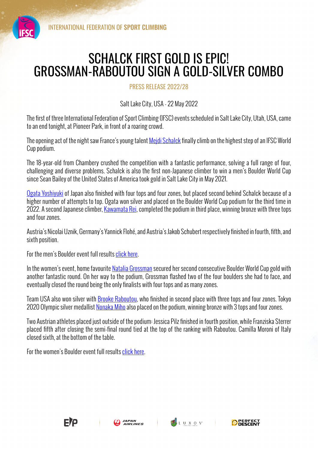

## SCHALCK FIRST GOLD IS EPIC! GROSSMAN-RABOUTOU SIGN A GOLD-SILVER COMBO

PRESS RELEASE 2022/28

Salt Lake City, USA - 22 May 2022

The first of three International Federation of Sport Climbing (IFSC) events scheduled in Salt Lake City, Utah, USA, came to an end tonight, at Pioneer Park, in front of a roaring crowd.

The opening act of the night saw France's young talent Mejdi Schalck finally climb on the highest step of an IFSC World Cup podium.

The 18-year-old from Chambery crushed the competition with a fantastic performance, solving a full range of four, challenging and diverse problems. Schalck is also the first non-Japanese climber to win a men's Boulder World Cup since Sean Bailey of the United States of America took gold in Salt Lake City in May 2021.

Ogata Yoshiyuki of Japan also finished with four tops and four zones, but placed second behind Schalck because of a higher number of attempts to top. Ogata won silver and placed on the Boulder World Cup podium for the third time in 2022. A second Japanese climber, Kawamata Rei, completed the podium in third place, winning bronze with three tops and four zones.

Austria's Nicolai Uznik, Germany's Yannick Flohé, and Austria's Jakob Schubert respectively finished in fourth, fifth, and sixth position.

For the men's Boulder event full results click here.

In the women's event, home favourite Natalia Grossman secured her second consecutive Boulder World Cup gold with another fantastic round. On her way to the podium, Grossman flashed two of the four boulders she had to face, and eventually closed the round being the only finalists with four tops and as many zones.

Team USA also won silver with Brooke Raboutou, who finished in second place with three tops and four zones. Tokyo 2020 Olympic silver medallist Nonaka Miho also placed on the podium, winning bronze with 3 tops and four zones.

Two Austrian athletes placed just outside of the podium: Jessica Pilz finished in fourth position, while Franziska Sterrer placed fifth after closing the semi-final round tied at the top of the ranking with Raboutou. Camilla Moroni of Italy closed sixth, at the bottom of the table.

For the women's Boulder event full results click here.